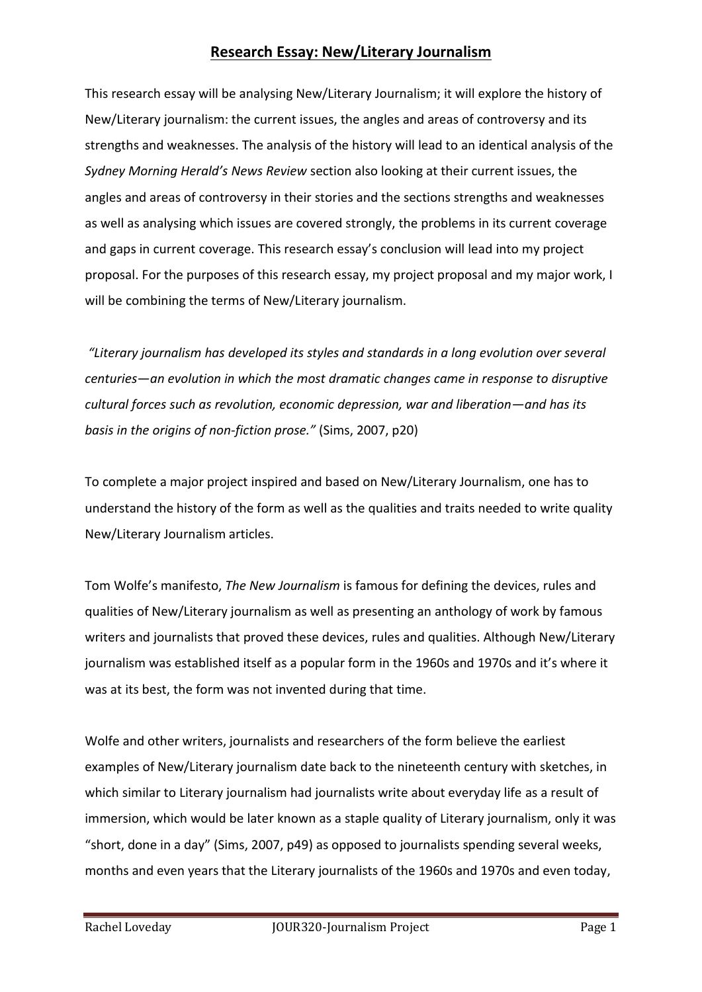This research essay will be analysing New/Literary Journalism; it will explore the history of New/Literary journalism: the current issues, the angles and areas of controversy and its strengths and weaknesses. The analysis of the history will lead to an identical analysis of the *Sydney Morning Herald's News Review* section also looking at their current issues, the angles and areas of controversy in their stories and the sections strengths and weaknesses as well as analysing which issues are covered strongly, the problems in its current coverage and gaps in current coverage. This research essay's conclusion will lead into my project proposal. For the purposes of this research essay, my project proposal and my major work, I will be combining the terms of New/Literary journalism.

*"Literary journalism has developed its styles and standards in a long evolution over several centuries—an evolution in which the most dramatic changes came in response to disruptive cultural forces such as revolution, economic depression, war and liberation—and has its basis in the origins of non-fiction prose."* (Sims, 2007, p20)

To complete a major project inspired and based on New/Literary Journalism, one has to understand the history of the form as well as the qualities and traits needed to write quality New/Literary Journalism articles.

Tom Wolfe's manifesto, *The New Journalism* is famous for defining the devices, rules and qualities of New/Literary journalism as well as presenting an anthology of work by famous writers and journalists that proved these devices, rules and qualities. Although New/Literary journalism was established itself as a popular form in the 1960s and 1970s and it's where it was at its best, the form was not invented during that time.

Wolfe and other writers, journalists and researchers of the form believe the earliest examples of New/Literary journalism date back to the nineteenth century with sketches, in which similar to Literary journalism had journalists write about everyday life as a result of immersion, which would be later known as a staple quality of Literary journalism, only it was "short, done in a day" (Sims, 2007, p49) as opposed to journalists spending several weeks, months and even years that the Literary journalists of the 1960s and 1970s and even today,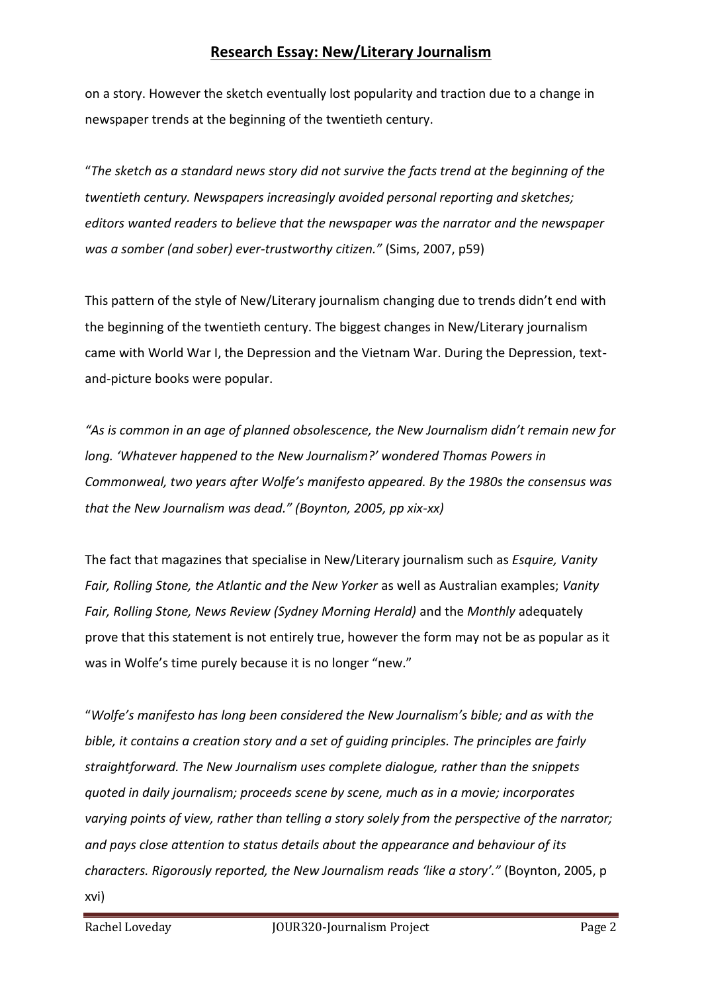on a story. However the sketch eventually lost popularity and traction due to a change in newspaper trends at the beginning of the twentieth century.

"*The sketch as a standard news story did not survive the facts trend at the beginning of the twentieth century. Newspapers increasingly avoided personal reporting and sketches; editors wanted readers to believe that the newspaper was the narrator and the newspaper was a somber (and sober) ever-trustworthy citizen."* (Sims, 2007, p59)

This pattern of the style of New/Literary journalism changing due to trends didn't end with the beginning of the twentieth century. The biggest changes in New/Literary journalism came with World War I, the Depression and the Vietnam War. During the Depression, textand-picture books were popular.

*"As is common in an age of planned obsolescence, the New Journalism didn't remain new for long. 'Whatever happened to the New Journalism?' wondered Thomas Powers in Commonweal, two years after Wolfe's manifesto appeared. By the 1980s the consensus was that the New Journalism was dead." (Boynton, 2005, pp xix-xx)*

The fact that magazines that specialise in New/Literary journalism such as *Esquire, Vanity Fair, Rolling Stone, the Atlantic and the New Yorker* as well as Australian examples; *Vanity Fair, Rolling Stone, News Review (Sydney Morning Herald)* and the *Monthly* adequately prove that this statement is not entirely true, however the form may not be as popular as it was in Wolfe's time purely because it is no longer "new."

"*Wolfe's manifesto has long been considered the New Journalism's bible; and as with the bible, it contains a creation story and a set of guiding principles. The principles are fairly straightforward. The New Journalism uses complete dialogue, rather than the snippets quoted in daily journalism; proceeds scene by scene, much as in a movie; incorporates varying points of view, rather than telling a story solely from the perspective of the narrator; and pays close attention to status details about the appearance and behaviour of its characters. Rigorously reported, the New Journalism reads 'like a story'."* (Boynton, 2005, p xvi)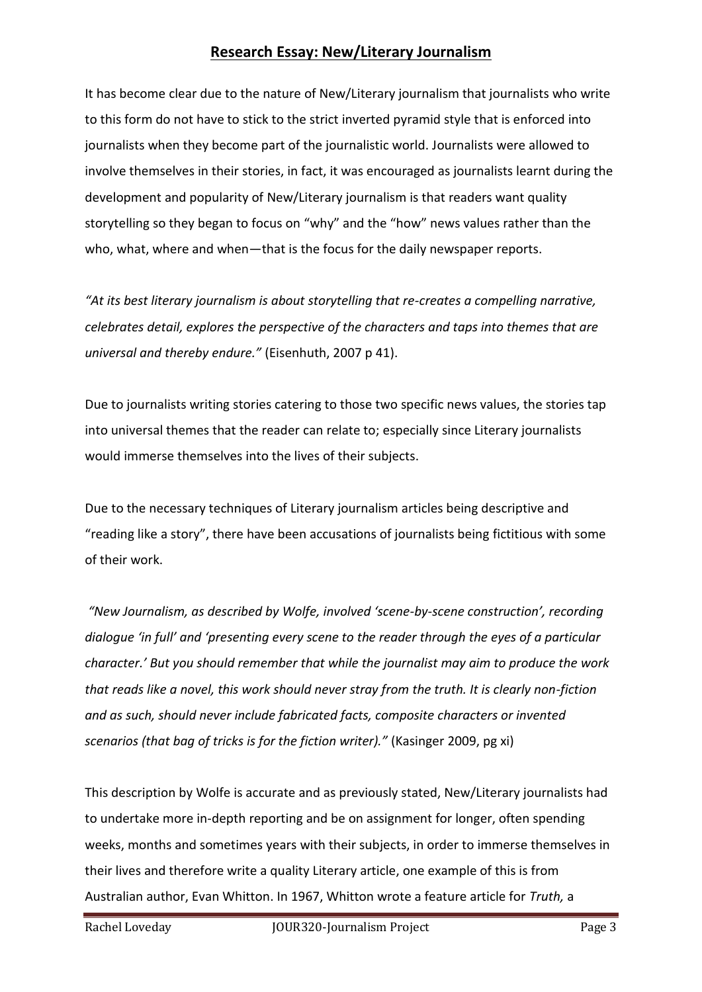It has become clear due to the nature of New/Literary journalism that journalists who write to this form do not have to stick to the strict inverted pyramid style that is enforced into journalists when they become part of the journalistic world. Journalists were allowed to involve themselves in their stories, in fact, it was encouraged as journalists learnt during the development and popularity of New/Literary journalism is that readers want quality storytelling so they began to focus on "why" and the "how" news values rather than the who, what, where and when—that is the focus for the daily newspaper reports.

*"At its best literary journalism is about storytelling that re-creates a compelling narrative, celebrates detail, explores the perspective of the characters and taps into themes that are universal and thereby endure."* (Eisenhuth, 2007 p 41).

Due to journalists writing stories catering to those two specific news values, the stories tap into universal themes that the reader can relate to; especially since Literary journalists would immerse themselves into the lives of their subjects.

Due to the necessary techniques of Literary journalism articles being descriptive and "reading like a story", there have been accusations of journalists being fictitious with some of their work.

*"New Journalism, as described by Wolfe, involved 'scene-by-scene construction', recording dialogue 'in full' and 'presenting every scene to the reader through the eyes of a particular character.' But you should remember that while the journalist may aim to produce the work that reads like a novel, this work should never stray from the truth. It is clearly non-fiction and as such, should never include fabricated facts, composite characters or invented scenarios (that bag of tricks is for the fiction writer)."* (Kasinger 2009, pg xi)

This description by Wolfe is accurate and as previously stated, New/Literary journalists had to undertake more in-depth reporting and be on assignment for longer, often spending weeks, months and sometimes years with their subjects, in order to immerse themselves in their lives and therefore write a quality Literary article, one example of this is from Australian author, Evan Whitton. In 1967, Whitton wrote a feature article for *Truth,* a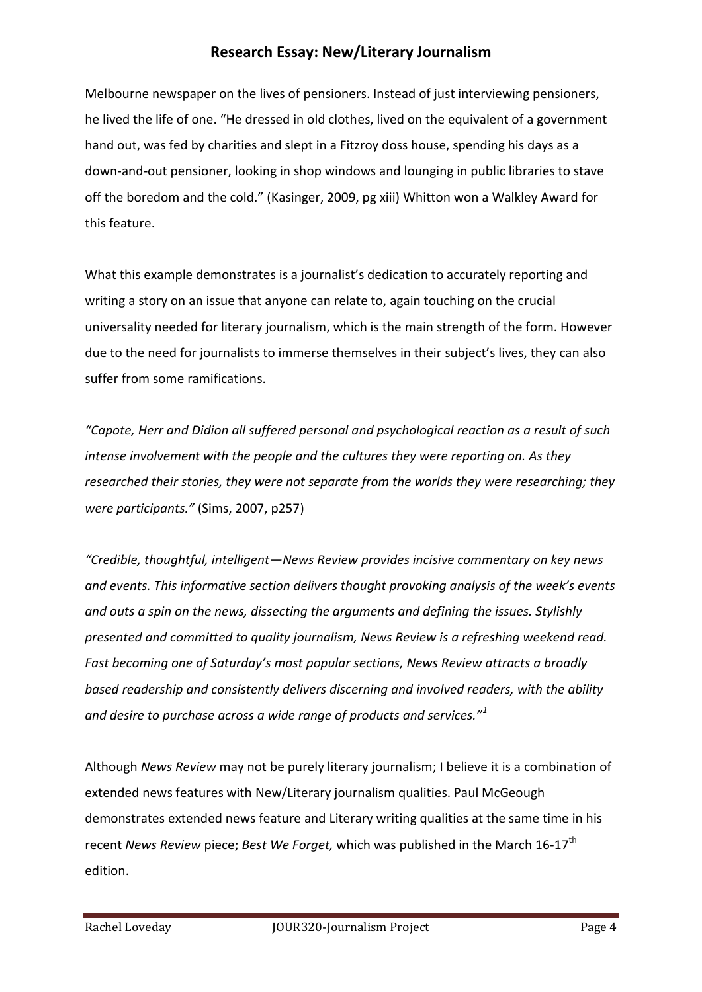Melbourne newspaper on the lives of pensioners. Instead of just interviewing pensioners, he lived the life of one. "He dressed in old clothes, lived on the equivalent of a government hand out, was fed by charities and slept in a Fitzroy doss house, spending his days as a down-and-out pensioner, looking in shop windows and lounging in public libraries to stave off the boredom and the cold." (Kasinger, 2009, pg xiii) Whitton won a Walkley Award for this feature.

What this example demonstrates is a journalist's dedication to accurately reporting and writing a story on an issue that anyone can relate to, again touching on the crucial universality needed for literary journalism, which is the main strength of the form. However due to the need for journalists to immerse themselves in their subject's lives, they can also suffer from some ramifications.

*"Capote, Herr and Didion all suffered personal and psychological reaction as a result of such intense involvement with the people and the cultures they were reporting on. As they researched their stories, they were not separate from the worlds they were researching; they were participants."* (Sims, 2007, p257)

*"Credible, thoughtful, intelligent—News Review provides incisive commentary on key news and events. This informative section delivers thought provoking analysis of the week's events and outs a spin on the news, dissecting the arguments and defining the issues. Stylishly presented and committed to quality journalism, News Review is a refreshing weekend read. Fast becoming one of Saturday's most popular sections, News Review attracts a broadly based readership and consistently delivers discerning and involved readers, with the ability and desire to purchase across a wide range of products and services."<sup>1</sup>*

Although *News Review* may not be purely literary journalism; I believe it is a combination of extended news features with New/Literary journalism qualities. Paul McGeough demonstrates extended news feature and Literary writing qualities at the same time in his recent *News Review* piece; *Best We Forget*, which was published in the March 16-17<sup>th</sup> edition.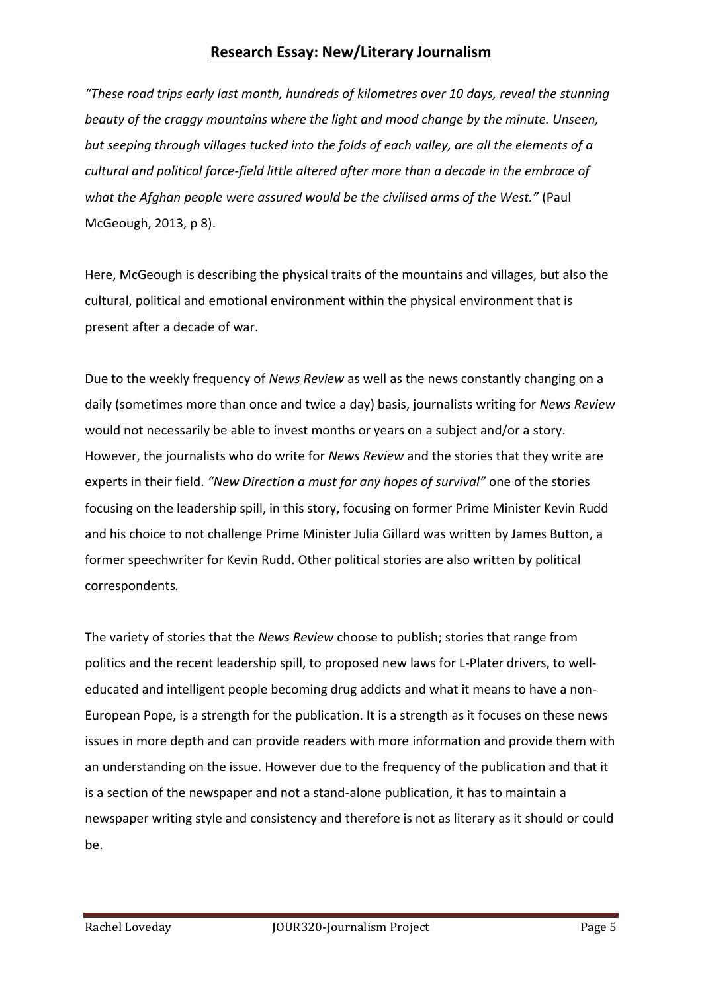*"These road trips early last month, hundreds of kilometres over 10 days, reveal the stunning beauty of the craggy mountains where the light and mood change by the minute. Unseen, but seeping through villages tucked into the folds of each valley, are all the elements of a cultural and political force-field little altered after more than a decade in the embrace of what the Afghan people were assured would be the civilised arms of the West."* (Paul McGeough, 2013, p 8).

Here, McGeough is describing the physical traits of the mountains and villages, but also the cultural, political and emotional environment within the physical environment that is present after a decade of war.

Due to the weekly frequency of *News Review* as well as the news constantly changing on a daily (sometimes more than once and twice a day) basis, journalists writing for *News Review* would not necessarily be able to invest months or years on a subject and/or a story. However, the journalists who do write for *News Review* and the stories that they write are experts in their field. *"New Direction a must for any hopes of survival"* one of the stories focusing on the leadership spill, in this story, focusing on former Prime Minister Kevin Rudd and his choice to not challenge Prime Minister Julia Gillard was written by James Button, a former speechwriter for Kevin Rudd. Other political stories are also written by political correspondents*.*

The variety of stories that the *News Review* choose to publish; stories that range from politics and the recent leadership spill, to proposed new laws for L-Plater drivers, to welleducated and intelligent people becoming drug addicts and what it means to have a non-European Pope, is a strength for the publication. It is a strength as it focuses on these news issues in more depth and can provide readers with more information and provide them with an understanding on the issue. However due to the frequency of the publication and that it is a section of the newspaper and not a stand-alone publication, it has to maintain a newspaper writing style and consistency and therefore is not as literary as it should or could be.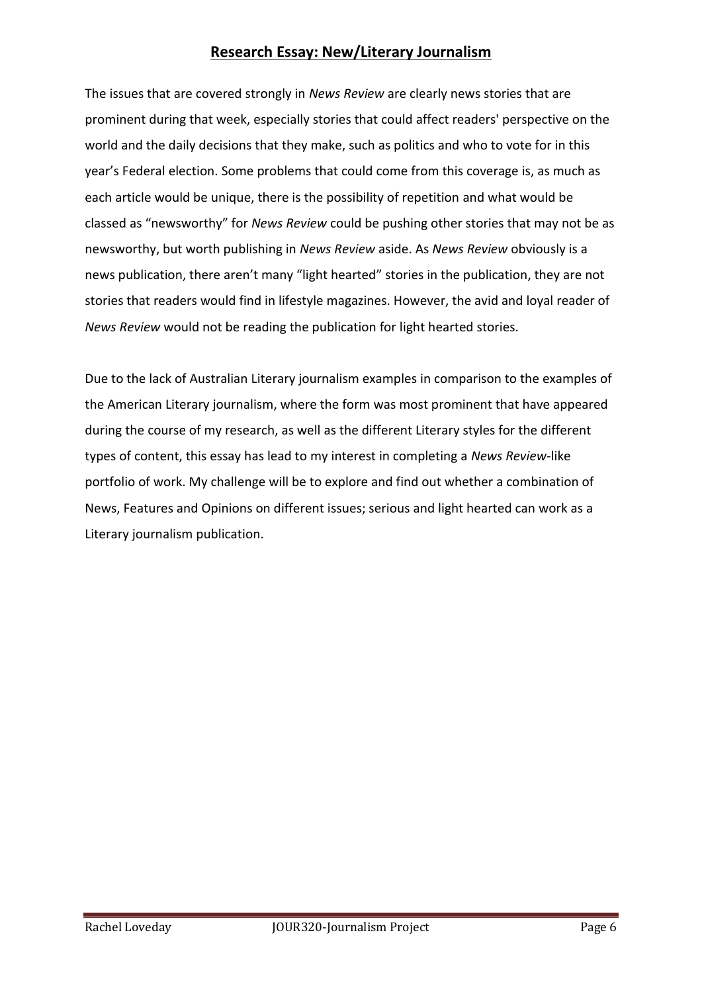The issues that are covered strongly in *News Review* are clearly news stories that are prominent during that week, especially stories that could affect readers' perspective on the world and the daily decisions that they make, such as politics and who to vote for in this year's Federal election. Some problems that could come from this coverage is, as much as each article would be unique, there is the possibility of repetition and what would be classed as "newsworthy" for *News Review* could be pushing other stories that may not be as newsworthy, but worth publishing in *News Review* aside. As *News Review* obviously is a news publication, there aren't many "light hearted" stories in the publication, they are not stories that readers would find in lifestyle magazines. However, the avid and loyal reader of *News Review* would not be reading the publication for light hearted stories.

Due to the lack of Australian Literary journalism examples in comparison to the examples of the American Literary journalism, where the form was most prominent that have appeared during the course of my research, as well as the different Literary styles for the different types of content, this essay has lead to my interest in completing a *News Review-*like portfolio of work. My challenge will be to explore and find out whether a combination of News, Features and Opinions on different issues; serious and light hearted can work as a Literary journalism publication.